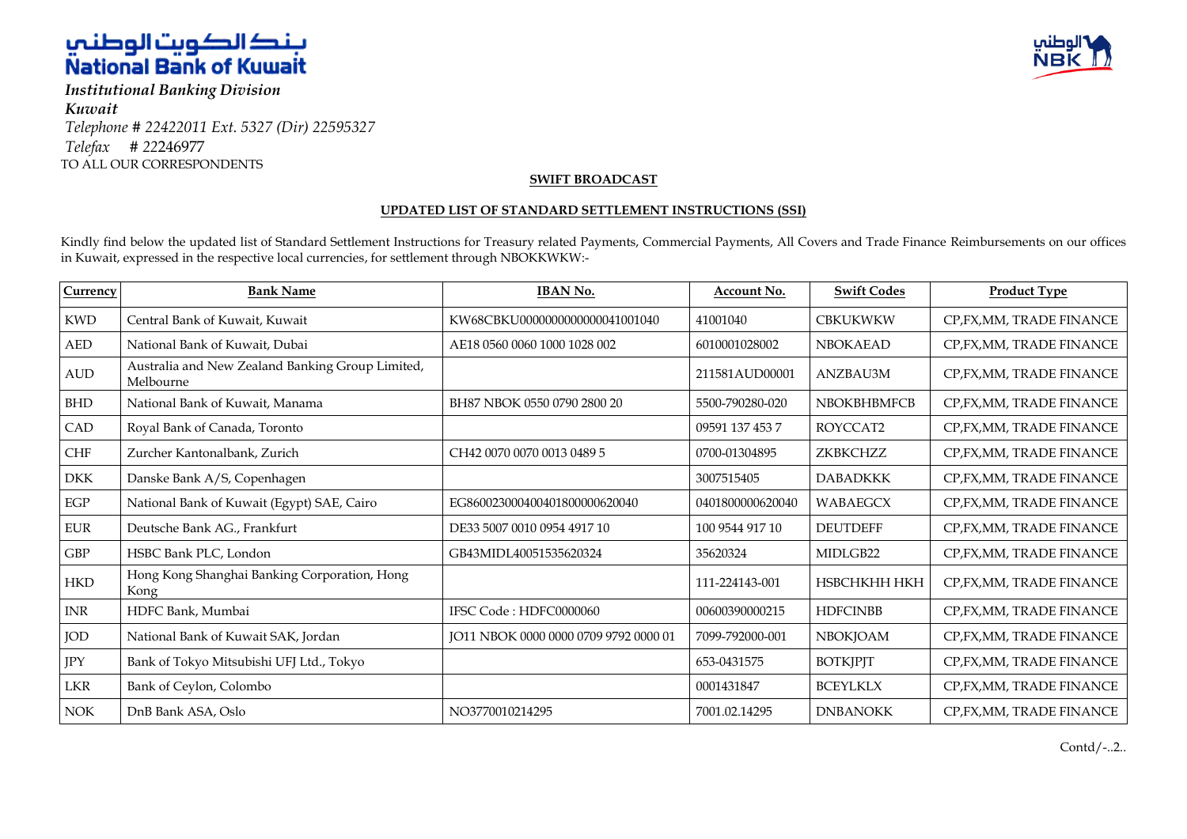

*Institutional Banking Division Kuwait Telephone # 22422011 Ext. 5327 (Dir) 22595327 Telefax # 22*246977 TO ALL OUR CORRESPONDENTS



### **SWIFT BROADCAST**

#### **UPDATED LIST OF STANDARD SETTLEMENT INSTRUCTIONS (SSI)**

Kindly find below the updated list of Standard Settlement Instructions for Treasury related Payments, Commercial Payments, All Covers and Trade Finance Reimbursements on our offices in Kuwait, expressed in the respective local currencies, for settlement through NBOKKWKW:-

| Currency   | <b>Bank Name</b>                                              | <b>IBAN No.</b>                       | Account No.      | <b>Swift Codes</b> | <b>Product Type</b>       |
|------------|---------------------------------------------------------------|---------------------------------------|------------------|--------------------|---------------------------|
| <b>KWD</b> | Central Bank of Kuwait, Kuwait                                | KW68CBKU0000000000000041001040        | 41001040         | <b>CBKUKWKW</b>    | CP, FX, MM, TRADE FINANCE |
| <b>AED</b> | National Bank of Kuwait, Dubai                                | AE18 0560 0060 1000 1028 002          | 6010001028002    | <b>NBOKAEAD</b>    | CP, FX, MM, TRADE FINANCE |
| <b>AUD</b> | Australia and New Zealand Banking Group Limited,<br>Melbourne |                                       | 211581AUD00001   | ANZBAU3M           | CP, FX, MM, TRADE FINANCE |
| <b>BHD</b> | National Bank of Kuwait, Manama                               | BH87 NBOK 0550 0790 2800 20           | 5500-790280-020  | <b>NBOKBHBMFCB</b> | CP, FX, MM, TRADE FINANCE |
| CAD        | Royal Bank of Canada, Toronto                                 |                                       | 09591 137 453 7  | ROYCCAT2           | CP, FX, MM, TRADE FINANCE |
| CHF        | Zurcher Kantonalbank, Zurich                                  | CH42 0070 0070 0013 0489 5            | 0700-01304895    | ZKBKCHZZ           | CP, FX, MM, TRADE FINANCE |
| <b>DKK</b> | Danske Bank A/S, Copenhagen                                   |                                       | 3007515405       | <b>DABADKKK</b>    | CP, FX, MM, TRADE FINANCE |
| EGP        | National Bank of Kuwait (Egypt) SAE, Cairo                    | EG860023000400401800000620040         | 0401800000620040 | <b>WABAEGCX</b>    | CP, FX, MM, TRADE FINANCE |
| <b>EUR</b> | Deutsche Bank AG., Frankfurt                                  | DE33 5007 0010 0954 4917 10           | 100 9544 917 10  | <b>DEUTDEFF</b>    | CP, FX, MM, TRADE FINANCE |
| GBP        | HSBC Bank PLC, London                                         | GB43MIDL40051535620324                | 35620324         | MIDLGB22           | CP, FX, MM, TRADE FINANCE |
| <b>HKD</b> | Hong Kong Shanghai Banking Corporation, Hong<br>Kong          |                                       | 111-224143-001   | НЅВСНКНН НКН       | CP, FX, MM, TRADE FINANCE |
| <b>INR</b> | HDFC Bank, Mumbai                                             | IFSC Code: HDFC0000060                | 00600390000215   | <b>HDFCINBB</b>    | CP, FX, MM, TRADE FINANCE |
| <b>JOD</b> | National Bank of Kuwait SAK, Jordan                           | JO11 NBOK 0000 0000 0709 9792 0000 01 | 7099-792000-001  | <b>NBOKJOAM</b>    | CP, FX, MM, TRADE FINANCE |
| JPY        | Bank of Tokyo Mitsubishi UFJ Ltd., Tokyo                      |                                       | 653-0431575      | <b>BOTKJPJT</b>    | CP, FX, MM, TRADE FINANCE |
| LKR        | Bank of Ceylon, Colombo                                       |                                       | 0001431847       | <b>BCEYLKLX</b>    | CP, FX, MM, TRADE FINANCE |
| <b>NOK</b> | DnB Bank ASA, Oslo                                            | NO3770010214295                       | 7001.02.14295    | <b>DNBANOKK</b>    | CP, FX, MM, TRADE FINANCE |

Contd/-..2..